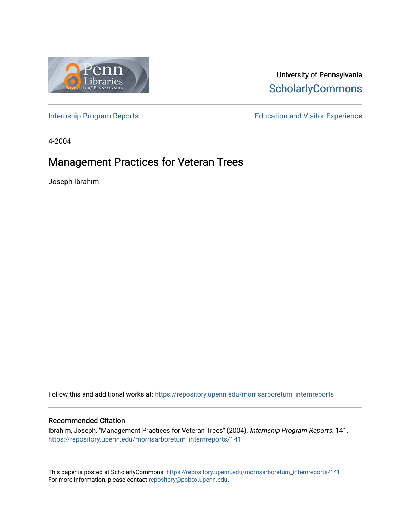

# University of Pennsylvania **ScholarlyCommons**

[Internship Program Reports](https://repository.upenn.edu/morrisarboretum_internreports) **Education and Visitor Experience** Education and Visitor Experience

4-2004

# Management Practices for Veteran Trees

Joseph Ibrahim

Follow this and additional works at: [https://repository.upenn.edu/morrisarboretum\\_internreports](https://repository.upenn.edu/morrisarboretum_internreports?utm_source=repository.upenn.edu%2Fmorrisarboretum_internreports%2F141&utm_medium=PDF&utm_campaign=PDFCoverPages) 

#### Recommended Citation

Ibrahim, Joseph, "Management Practices for Veteran Trees" (2004). Internship Program Reports. 141. [https://repository.upenn.edu/morrisarboretum\\_internreports/141](https://repository.upenn.edu/morrisarboretum_internreports/141?utm_source=repository.upenn.edu%2Fmorrisarboretum_internreports%2F141&utm_medium=PDF&utm_campaign=PDFCoverPages) 

This paper is posted at ScholarlyCommons. [https://repository.upenn.edu/morrisarboretum\\_internreports/141](https://repository.upenn.edu/morrisarboretum_internreports/141) For more information, please contact [repository@pobox.upenn.edu.](mailto:repository@pobox.upenn.edu)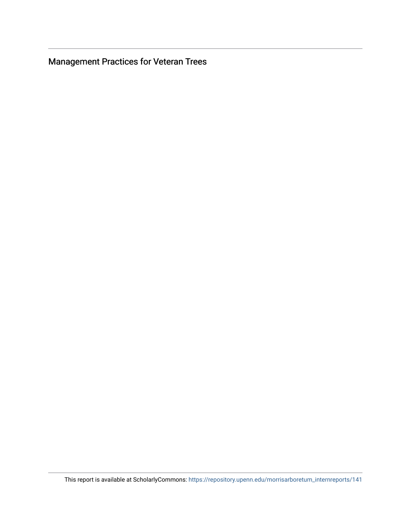**Management Practices for Veteran Trees**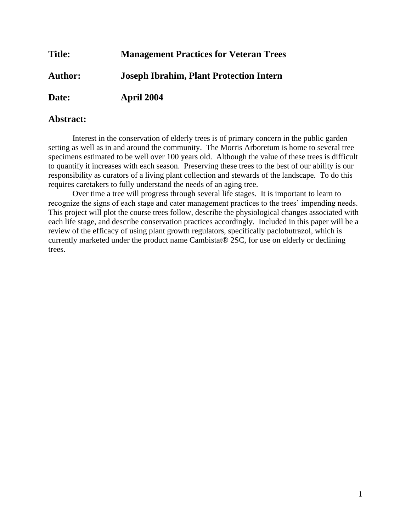# **Title: Management Practices for Veteran Trees Author: Joseph Ibrahim, Plant Protection Intern Date: April 2004**

# **Abstract:**

Interest in the conservation of elderly trees is of primary concern in the public garden setting as well as in and around the community. The Morris Arboretum is home to several tree specimens estimated to be well over 100 years old. Although the value of these trees is difficult to quantify it increases with each season. Preserving these trees to the best of our ability is our responsibility as curators of a living plant collection and stewards of the landscape. To do this requires caretakers to fully understand the needs of an aging tree.

Over time a tree will progress through several life stages. It is important to learn to recognize the signs of each stage and cater management practices to the trees' impending needs. This project will plot the course trees follow, describe the physiological changes associated with each life stage, and describe conservation practices accordingly. Included in this paper will be a review of the efficacy of using plant growth regulators, specifically paclobutrazol, which is currently marketed under the product name Cambistat® 2SC, for use on elderly or declining trees.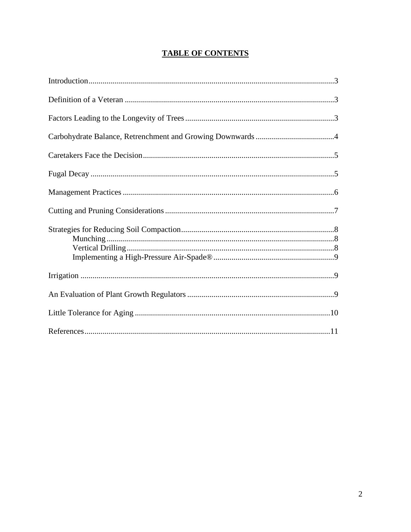# **TABLE OF CONTENTS**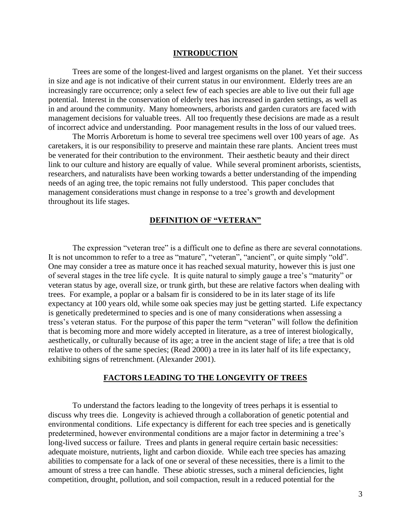#### **INTRODUCTION**

Trees are some of the longest-lived and largest organisms on the planet. Yet their success in size and age is not indicative of their current status in our environment. Elderly trees are an increasingly rare occurrence; only a select few of each species are able to live out their full age potential. Interest in the conservation of elderly tees has increased in garden settings, as well as in and around the community. Many homeowners, arborists and garden curators are faced with management decisions for valuable trees. All too frequently these decisions are made as a result of incorrect advice and understanding. Poor management results in the loss of our valued trees.

The Morris Arboretum is home to several tree specimens well over 100 years of age. As caretakers, it is our responsibility to preserve and maintain these rare plants. Ancient trees must be venerated for their contribution to the environment. Their aesthetic beauty and their direct link to our culture and history are equally of value. While several prominent arborists, scientists, researchers, and naturalists have been working towards a better understanding of the impending needs of an aging tree, the topic remains not fully understood. This paper concludes that management considerations must change in response to a tree's growth and development throughout its life stages.

#### **DEFINITION OF "VETERAN"**

The expression "veteran tree" is a difficult one to define as there are several connotations. It is not uncommon to refer to a tree as "mature", "veteran", "ancient", or quite simply "old". One may consider a tree as mature once it has reached sexual maturity, however this is just one of several stages in the tree life cycle. It is quite natural to simply gauge a tree's "maturity" or veteran status by age, overall size, or trunk girth, but these are relative factors when dealing with trees. For example, a poplar or a balsam fir is considered to be in its later stage of its life expectancy at 100 years old, while some oak species may just be getting started. Life expectancy is genetically predetermined to species and is one of many considerations when assessing a tress's veteran status. For the purpose of this paper the term "veteran" will follow the definition that is becoming more and more widely accepted in literature, as a tree of interest biologically, aesthetically, or culturally because of its age; a tree in the ancient stage of life; a tree that is old relative to others of the same species; (Read 2000) a tree in its later half of its life expectancy, exhibiting signs of retrenchment. (Alexander 2001).

#### **FACTORS LEADING TO THE LONGEVITY OF TREES**

To understand the factors leading to the longevity of trees perhaps it is essential to discuss why trees die. Longevity is achieved through a collaboration of genetic potential and environmental conditions. Life expectancy is different for each tree species and is genetically predetermined, however environmental conditions are a major factor in determining a tree's long-lived success or failure. Trees and plants in general require certain basic necessities: adequate moisture, nutrients, light and carbon dioxide. While each tree species has amazing abilities to compensate for a lack of one or several of these necessities, there is a limit to the amount of stress a tree can handle. These abiotic stresses, such a mineral deficiencies, light competition, drought, pollution, and soil compaction, result in a reduced potential for the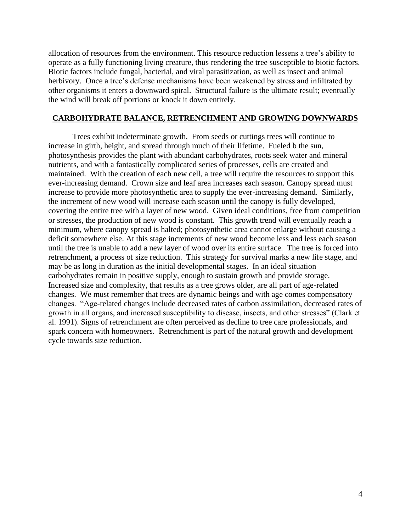allocation of resources from the environment. This resource reduction lessens a tree's ability to operate as a fully functioning living creature, thus rendering the tree susceptible to biotic factors. Biotic factors include fungal, bacterial, and viral parasitization, as well as insect and animal herbivory. Once a tree's defense mechanisms have been weakened by stress and infiltrated by other organisms it enters a downward spiral. Structural failure is the ultimate result; eventually the wind will break off portions or knock it down entirely.

#### **CARBOHYDRATE BALANCE, RETRENCHMENT AND GROWING DOWNWARDS**

Trees exhibit indeterminate growth. From seeds or cuttings trees will continue to increase in girth, height, and spread through much of their lifetime. Fueled b the sun, photosynthesis provides the plant with abundant carbohydrates, roots seek water and mineral nutrients, and with a fantastically complicated series of processes, cells are created and maintained. With the creation of each new cell, a tree will require the resources to support this ever-increasing demand. Crown size and leaf area increases each season. Canopy spread must increase to provide more photosynthetic area to supply the ever-increasing demand. Similarly, the increment of new wood will increase each season until the canopy is fully developed, covering the entire tree with a layer of new wood. Given ideal conditions, free from competition or stresses, the production of new wood is constant. This growth trend will eventually reach a minimum, where canopy spread is halted; photosynthetic area cannot enlarge without causing a deficit somewhere else. At this stage increments of new wood become less and less each season until the tree is unable to add a new layer of wood over its entire surface. The tree is forced into retrenchment, a process of size reduction. This strategy for survival marks a new life stage, and may be as long in duration as the initial developmental stages. In an ideal situation carbohydrates remain in positive supply, enough to sustain growth and provide storage. Increased size and complexity, that results as a tree grows older, are all part of age-related changes. We must remember that trees are dynamic beings and with age comes compensatory changes. "Age-related changes include decreased rates of carbon assimilation, decreased rates of growth in all organs, and increased susceptibility to disease, insects, and other stresses" (Clark et al. 1991). Signs of retrenchment are often perceived as decline to tree care professionals, and spark concern with homeowners. Retrenchment is part of the natural growth and development cycle towards size reduction.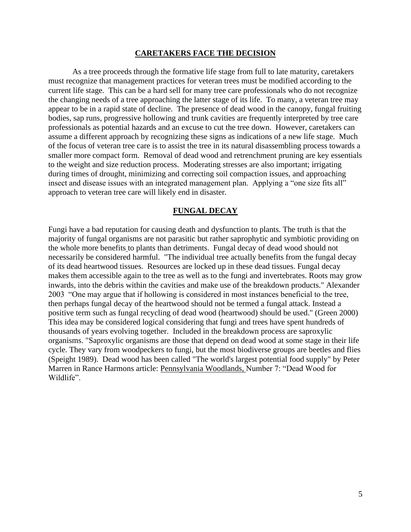#### **CARETAKERS FACE THE DECISION**

As a tree proceeds through the formative life stage from full to late maturity, caretakers must recognize that management practices for veteran trees must be modified according to the current life stage. This can be a hard sell for many tree care professionals who do not recognize the changing needs of a tree approaching the latter stage of its life. To many, a veteran tree may appear to be in a rapid state of decline. The presence of dead wood in the canopy, fungal fruiting bodies, sap runs, progressive hollowing and trunk cavities are frequently interpreted by tree care professionals as potential hazards and an excuse to cut the tree down. However, caretakers can assume a different approach by recognizing these signs as indications of a new life stage. Much of the focus of veteran tree care is to assist the tree in its natural disassembling process towards a smaller more compact form. Removal of dead wood and retrenchment pruning are key essentials to the weight and size reduction process. Moderating stresses are also important; irrigating during times of drought, minimizing and correcting soil compaction issues, and approaching insect and disease issues with an integrated management plan. Applying a "one size fits all" approach to veteran tree care will likely end in disaster.

#### **FUNGAL DECAY**

Fungi have a bad reputation for causing death and dysfunction to plants. The truth is that the majority of fungal organisms are not parasitic but rather saprophytic and symbiotic providing on the whole more benefits to plants than detriments. Fungal decay of dead wood should not necessarily be considered harmful. "The individual tree actually benefits from the fungal decay of its dead heartwood tissues. Resources are locked up in these dead tissues. Fungal decay makes them accessible again to the tree as well as to the fungi and invertebrates. Roots may grow inwards, into the debris within the cavities and make use of the breakdown products." Alexander 2003 "One may argue that if hollowing is considered in most instances beneficial to the tree, then perhaps fungal decay of the heartwood should not be termed a fungal attack. Instead a positive term such as fungal recycling of dead wood (heartwood) should be used." (Green 2000) This idea may be considered logical considering that fungi and trees have spent hundreds of thousands of years evolving together. Included in the breakdown process are saproxylic organisms. "Saproxylic organisms are those that depend on dead wood at some stage in their life cycle. They vary from woodpeckers to fungi, but the most biodiverse groups are beetles and flies (Speight 1989). Dead wood has been called "The world's largest potential food supply" by Peter Marren in Rance Harmons article: Pennsylvania Woodlands, Number 7: "Dead Wood for Wildlife".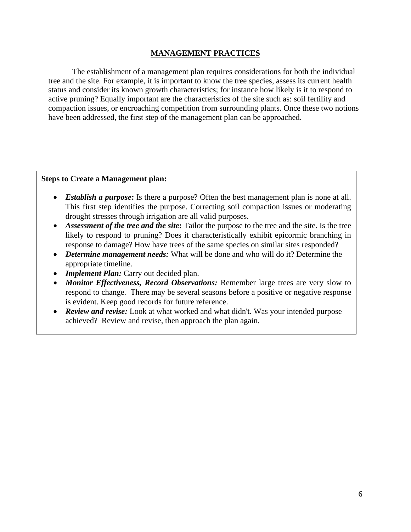#### **MANAGEMENT PRACTICES**

The establishment of a management plan requires considerations for both the individual tree and the site. For example, it is important to know the tree species, assess its current health status and consider its known growth characteristics; for instance how likely is it to respond to active pruning? Equally important are the characteristics of the site such as: soil fertility and compaction issues, or encroaching competition from surrounding plants. Once these two notions have been addressed, the first step of the management plan can be approached.

#### **Steps to Create a Management plan:**

- **Establish a purpose:** Is there a purpose? Often the best management plan is none at all. This first step identifies the purpose. Correcting soil compaction issues or moderating drought stresses through irrigation are all valid purposes.
- *Assessment of the tree and the site***:** Tailor the purpose to the tree and the site. Is the tree likely to respond to pruning? Does it characteristically exhibit epicormic branching in response to damage? How have trees of the same species on similar sites responded?
- *Determine management needs:* What will be done and who will do it? Determine the appropriate timeline.
- *Implement Plan:* Carry out decided plan.
- *Monitor Effectiveness, Record Observations: Remember large trees are very slow to* respond to change. There may be several seasons before a positive or negative response is evident. Keep good records for future reference.
- *Review and revise:* Look at what worked and what didn't. Was your intended purpose achieved? Review and revise, then approach the plan again.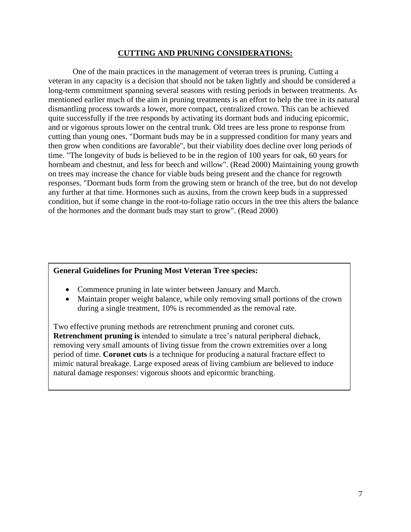#### **CUTTING AND PRUNING CONSIDERATIONS:**

One of the main practices in the management of veteran trees is pruning. Cutting a veteran in any capacity is a decision that should not be taken lightly and should be considered a long-term commitment spanning several seasons with resting periods in between treatments. As mentioned earlier much of the aim in pruning treatments is an effort to help the tree in its natural dismantling process towards a lower, more compact, centralized crown. This can be achieved quite successfully if the tree responds by activating its dormant buds and inducing epicormic, and or vigorous sprouts lower on the central trunk. Old trees are less prone to response from cutting than young ones. "Dormant buds may be in a suppressed condition for many years and then grow when conditions are favorable", but their viability does decline over long periods of time. "The longevity of buds is believed to be in the region of 100 years for oak, 60 years for hornbeam and chestnut, and less for beech and willow". (Read 2000) Maintaining young growth on trees may increase the chance for viable buds being present and the chance for regrowth responses. "Dormant buds form from the growing stem or branch of the tree, but do not develop any further at that time. Hormones such as auxins, from the crown keep buds in a suppressed condition, but if some change in the root-to-foliage ratio occurs in the tree this alters the balance of the hormones and the dormant buds may start to grow". (Read 2000)

#### **General Guidelines for Pruning Most Veteran Tree species:**

- Commence pruning in late winter between January and March.
- Maintain proper weight balance, while only removing small portions of the crown during a single treatment, 10% is recommended as the removal rate.

Two effective pruning methods are retrenchment pruning and coronet cuts. **Retrenchment pruning is** intended to simulate a tree's natural peripheral dieback, removing very small amounts of living tissue from the crown extremities over a long period of time. **Coronet cuts** is a technique for producing a natural fracture effect to mimic natural breakage. Large exposed areas of living cambium are believed to induce natural damage responses: vigorous shoots and epicormic branching.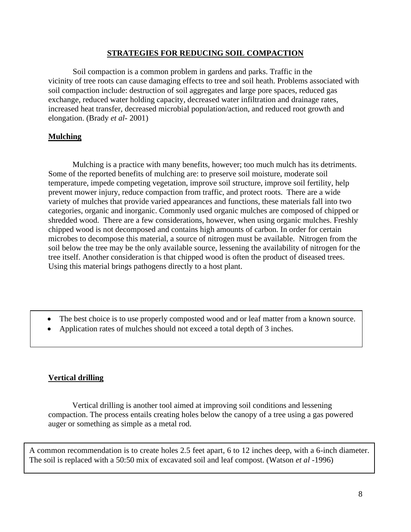#### **STRATEGIES FOR REDUCING SOIL COMPACTION**

Soil compaction is a common problem in gardens and parks. Traffic in the vicinity of tree roots can cause damaging effects to tree and soil heath. Problems associated with soil compaction include: destruction of soil aggregates and large pore spaces, reduced gas exchange, reduced water holding capacity, decreased water infiltration and drainage rates, increased heat transfer, decreased microbial population/action, and reduced root growth and elongation. (Brady *et al-* 2001)

## **Mulching**

Mulching is a practice with many benefits, however; too much mulch has its detriments. Some of the reported benefits of mulching are: to preserve soil moisture, moderate soil temperature, impede competing vegetation, improve soil structure, improve soil fertility, help prevent mower injury, reduce compaction from traffic, and protect roots. There are a wide variety of mulches that provide varied appearances and functions, these materials fall into two categories, organic and inorganic. Commonly used organic mulches are composed of chipped or shredded wood. There are a few considerations, however, when using organic mulches. Freshly chipped wood is not decomposed and contains high amounts of carbon. In order for certain microbes to decompose this material, a source of nitrogen must be available. Nitrogen from the soil below the tree may be the only available source, lessening the availability of nitrogen for the tree itself. Another consideration is that chipped wood is often the product of diseased trees. Using this material brings pathogens directly to a host plant.

- The best choice is to use properly composted wood and or leaf matter from a known source.
- Application rates of mulches should not exceed a total depth of 3 inches.

# **Vertical drilling**

Vertical drilling is another tool aimed at improving soil conditions and lessening compaction. The process entails creating holes below the canopy of a tree using a gas powered auger or something as simple as a metal rod.

A common recommendation is to create holes 2.5 feet apart, 6 to 12 inches deep, with a 6-inch diameter. The soil is replaced with a 50:50 mix of excavated soil and leaf compost. (Watson *et al* -1996)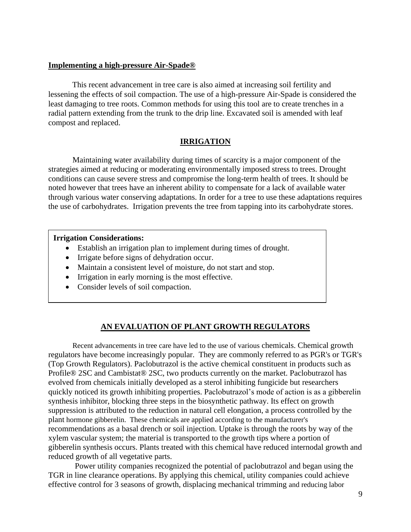#### **Implementing a high-pressure Air-Spade®**

This recent advancement in tree care is also aimed at increasing soil fertility and lessening the effects of soil compaction. The use of a high-pressure Air-Spade is considered the least damaging to tree roots. Common methods for using this tool are to create trenches in a radial pattern extending from the trunk to the drip line. Excavated soil is amended with leaf compost and replaced.

#### **IRRIGATION**

Maintaining water availability during times of scarcity is a major component of the strategies aimed at reducing or moderating environmentally imposed stress to trees. Drought conditions can cause severe stress and compromise the long-term health of trees. It should be noted however that trees have an inherent ability to compensate for a lack of available water through various water conserving adaptations. In order for a tree to use these adaptations requires the use of carbohydrates. Irrigation prevents the tree from tapping into its carbohydrate stores.

#### **Irrigation Considerations:**

- Establish an irrigation plan to implement during times of drought.
- Irrigate before signs of dehydration occur.
- Maintain a consistent level of moisture, do not start and stop.
- Irrigation in early morning is the most effective.
- Consider levels of soil compaction.

# **AN EVALUATION OF PLANT GROWTH REGULATORS**

Recent advancements in tree care have led to the use of various chemicals. Chemical growth regulators have become increasingly popular. They are commonly referred to as PGR's or TGR's (Top Growth Regulators). Paclobutrazol is the active chemical constituent in products such as Profile® 2SC and Cambistat® 2SC, two products currently on the market. Paclobutrazol has evolved from chemicals initially developed as a sterol inhibiting fungicide but researchers quickly noticed its growth inhibiting properties. Paclobutrazol's mode of action is as a gibberelin synthesis inhibitor, blocking three steps in the biosynthetic pathway. Its effect on growth suppression is attributed to the reduction in natural cell elongation, a process controlled by the plant hormone gibberelin. These chemicals are applied according to the manufacturer's recommendations as a basal drench or soil injection. Uptake is through the roots by way of the xylem vascular system; the material is transported to the growth tips where a portion of gibberelin synthesis occurs. Plants treated with this chemical have reduced internodal growth and reduced growth of all vegetative parts.

Power utility companies recognized the potential of paclobutrazol and began using the TGR in line clearance operations. By applying this chemical, utility companies could achieve effective control for 3 seasons of growth, displacing mechanical trimming and reducing labor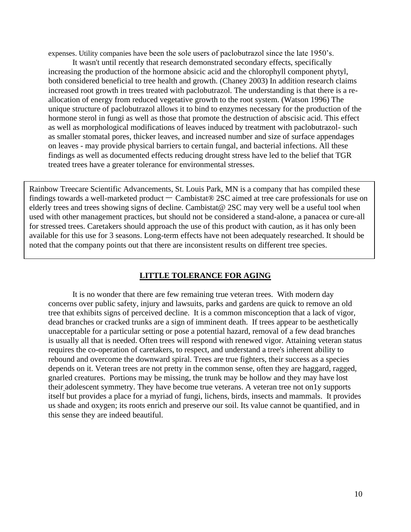expenses. Utility companies have been the sole users of paclobutrazol since the late 1950's.

It wasn't until recently that research demonstrated secondary effects, specifically increasing the production of the hormone absicic acid and the chlorophyll component phytyl, both considered beneficial to tree health and growth. (Chaney 2003) In addition research claims increased root growth in trees treated with paclobutrazol. The understanding is that there is a reallocation of energy from reduced vegetative growth to the root system. (Watson 1996) The unique structure of paclobutrazol allows it to bind to enzymes necessary for the production of the hormone sterol in fungi as well as those that promote the destruction of abscisic acid. This effect as well as morphological modifications of leaves induced by treatment with paclobutrazol- such as smaller stomatal pores, thicker leaves, and increased number and size of surface appendages on leaves - may provide physical barriers to certain fungal, and bacterial infections. All these findings as well as documented effects reducing drought stress have led to the belief that TGR treated trees have a greater tolerance for environmental stresses.

Rainbow Treecare Scientific Advancements, St. Louis Park, MN is a company that has compiled these findings towards a well-marketed product – Cambistat® 2SC aimed at tree care professionals for use on elderly trees and trees showing signs of decline. Cambistat@ 2SC may very well be a useful tool when used with other management practices, but should not be considered a stand-alone, a panacea or cure-all for stressed trees. Caretakers should approach the use of this product with caution, as it has only been available for this use for 3 seasons. Long-term effects have not been adequately researched. It should be noted that the company points out that there are inconsistent results on different tree species.

#### **LITTLE TOLERANCE FOR AGING**

It is no wonder that there are few remaining true veteran trees. With modern day concerns over public safety, injury and lawsuits, parks and gardens are quick to remove an old tree that exhibits signs of perceived decline. It is a common misconception that a lack of vigor, dead branches or cracked trunks are a sign of imminent death. If trees appear to be aesthetically unacceptable for a particular setting or pose a potential hazard, removal of a few dead branches is usually all that is needed. Often trees will respond with renewed vigor. Attaining veteran status requires the co-operation of caretakers, to respect, and understand a tree's inherent ability to rebound and overcome the downward spiral. Trees are true fighters, their success as a species depends on it. Veteran trees are not pretty in the common sense, often they are haggard, ragged, gnarled creatures. Portions may be missing, the trunk may be hollow and they may have lost their adolescent symmetry. They have become true veterans. A veteran tree not on1y supports itself but provides a place for a myriad of fungi, lichens, birds, insects and mammals. It provides us shade and oxygen; its roots enrich and preserve our soil. Its value cannot be quantified, and in this sense they are indeed beautiful.